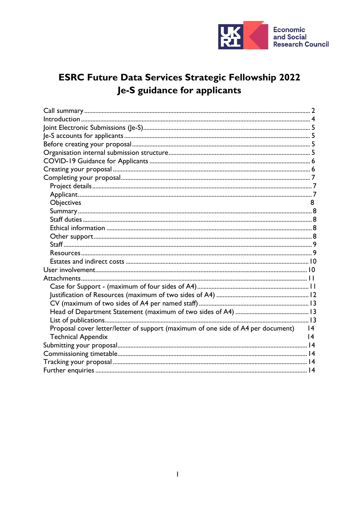

# **ESRC Future Data Services Strategic Fellowship 2022** Je-S guidance for applicants

| <b>Objectives</b>                                                                   | 8 |  |
|-------------------------------------------------------------------------------------|---|--|
|                                                                                     |   |  |
|                                                                                     |   |  |
|                                                                                     |   |  |
|                                                                                     |   |  |
|                                                                                     |   |  |
|                                                                                     |   |  |
|                                                                                     |   |  |
|                                                                                     |   |  |
|                                                                                     |   |  |
|                                                                                     |   |  |
|                                                                                     |   |  |
|                                                                                     |   |  |
|                                                                                     |   |  |
|                                                                                     |   |  |
| Proposal cover letter/letter of support (maximum of one side of A4 per document) 14 |   |  |
| <b>Technical Appendix</b>                                                           | 4 |  |
|                                                                                     |   |  |
|                                                                                     |   |  |
|                                                                                     |   |  |
|                                                                                     |   |  |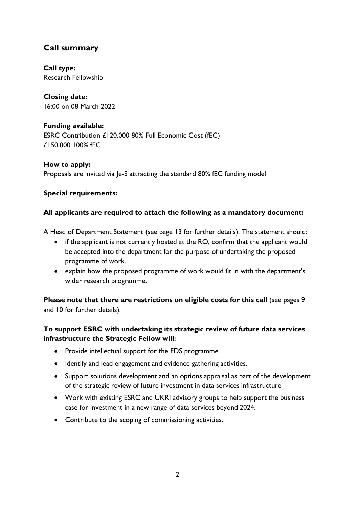## <span id="page-1-0"></span>**Call summary**

**Call type:** Research Fellowship

**Closing date:** 16:00 on 08 March 2022

## **Funding available:**

ESRC Contribution £120,000 80% Full Economic Cost (fEC) £150,000 100% fEC

**How to apply:** Proposals are invited via Je-S attracting the standard 80% fEC funding model

### **Special requirements:**

### **All applicants are required to attach the following as a mandatory document:**

A Head of Department Statement (see page 13 for further details). The statement should:

- if the applicant is not currently hosted at the RO, confirm that the applicant would be accepted into the department for the purpose of undertaking the proposed programme of work.
- explain how the proposed programme of work would fit in with the department's wider research programme.

**Please note that there are restrictions on eligible costs for this call** (see pages 9 and 10 for further details).

## **To support ESRC with undertaking its strategic review of future data services infrastructure the Strategic Fellow will:**

- Provide intellectual support for the FDS programme.
- Identify and lead engagement and evidence gathering activities.
- Support solutions development and an options appraisal as part of the development of the strategic review of future investment in data services infrastructure
- Work with existing ESRC and UKRI advisory groups to help support the business case for investment in a new range of data services beyond 2024.
- Contribute to the scoping of commissioning activities.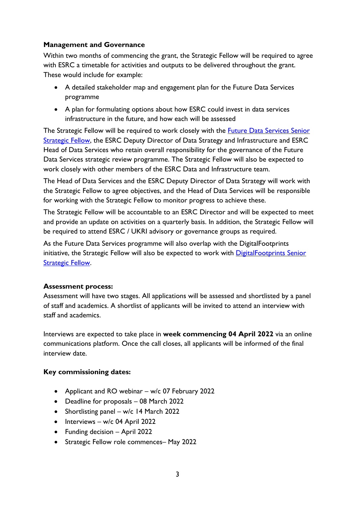### **Management and Governance**

Within two months of commencing the grant, the Strategic Fellow will be required to agree with ESRC a timetable for activities and outputs to be delivered throughout the grant. These would include for example:

- A detailed stakeholder map and engagement plan for the Future Data Services programme
- A plan for formulating options about how ESRC could invest in data services infrastructure in the future, and how each will be assessed

The Strategic Fellow will be required to work closely with the [Future Data Services Senior](https://www.ukri.org/opportunity/future-data-services-senior-strategic-fellowship-2022/) **[Strategic Fellow, t](https://www.ukri.org/opportunity/future-data-services-senior-strategic-fellowship-2022/)he ESRC Deputy Director of Data Strategy and Infrastructure and ESRC** Head of Data Services who retain overall responsibility for the governance of the Future Data Services strategic review programme. The Strategic Fellow will also be expected to work closely with other members of the ESRC Data and Infrastructure team.

The Head of Data Services and the ESRC Deputy Director of Data Strategy will work with the Strategic Fellow to agree objectives, and the Head of Data Services will be responsible for working with the Strategic Fellow to monitor progress to achieve these.

The Strategic Fellow will be accountable to an ESRC Director and will be expected to meet and provide an update on activities on a quarterly basis. In addition, the Strategic Fellow will be required to attend ESRC / UKRI advisory or governance groups as required.

As the Future Data Services programme will also overlap with the DigitalFootprints initiative, the Strategic Fellow will also be expected to work with **DigitalFootprints Senior [Strategic Fellow.](https://www.ukri.org/opportunity/digitalfootprints-senior-strategic-fellowship-2022/)** 

#### **Assessment process:**

Assessment will have two stages. All applications will be assessed and shortlisted by a panel of staff and academics. A shortlist of applicants will be invited to attend an interview with staff and academics.

Interviews are expected to take place in **week commencing 04 April 2022** via an online communications platform. Once the call closes, all applicants will be informed of the final interview date.

#### **Key commissioning dates:**

- Applicant and RO webinar w/c 07 February 2022
- Deadline for proposals 08 March 2022
- Shortlisting panel w/c 14 March 2022
- Interviews w/c 04 April 2022
- Funding decision April 2022
- Strategic Fellow role commences– May 2022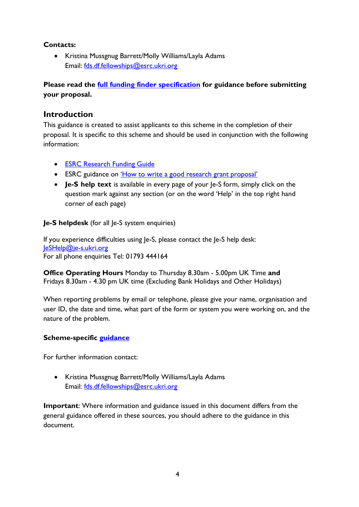#### **Contacts:**

• Kristina Mussgnug Barrett/Molly Williams/Layla Adams Email: [fds.df.fellowships@esrc.ukri.org](mailto:fds.df.fellowships@esrc.ukri.org)

**Please read the [full funding finder specification](https://www.ukri.org/opportunity/future-data-services-strategic-fellowship-2022/) for guidance before submitting your proposal.**

## <span id="page-3-0"></span>**Introduction**

This guidance is created to assist applicants to this scheme in the completion of their proposal. It is specific to this scheme and should be used in conjunction with the following information:

- [ESRC Research Funding](https://esrc.ukri.org/funding/guidance-for-applicants/research-funding-guide/) Guide
- ESRC guidance on ['How to write a good research grant](https://esrc.ukri.org/funding/guidance-for-applicants/how-to-write-a-good-research-grant-proposal/) proposal'
- **Je-S help text** is available in every page of your Je-S form, simply click on the question mark against any section (or on the word 'Help' in the top right hand corner of each page)

**Je-S helpdesk** (for all Je-S system enquiries)

If you experience difficulties using Je-S, please contact the Je-S help desk: [JeSHelp@je-s.ukri.org](mailto:JeSHelp@je-s.ukri.org) For all phone enquiries Tel: 01793 444164

**Office Operating Hours** Monday to Thursday 8.30am - 5.00pm UK Time **and** Fridays 8.30am - 4.30 pm UK time (Excluding Bank Holidays and Other Holidays)

When reporting problems by email or telephone, please give your name, organisation and user ID, the date and time, what part of the form or system you were working on, and the nature of the problem.

### **Scheme-specific [guidance](https://www.ukri.org/opportunity/future-data-services-strategic-fellowship-2022/)**

For further information contact:

• Kristina Mussgnug Barrett/Molly Williams/Layla Adams Email: [fds.df.fellowships@esrc.ukri.org](mailto:fds.df.fellowships@esrc.ukri.org)

**Important**: Where information and guidance issued in this document differs from the general guidance offered in these sources, you should adhere to the guidance in this document.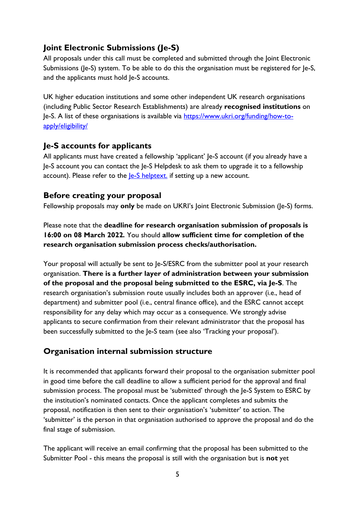## <span id="page-4-0"></span>**Joint Electronic Submissions (Je-S)**

All proposals under this call must be completed and submitted through the Joint Electronic Submissions (Je-S) system. To be able to do this the organisation must be registered for Je-S, and the applicants must hold Je-S accounts.

UK higher education institutions and some other independent UK research organisations (including Public Sector Research Establishments) are already **recognised institutions** on Je-S. A list of these organisations is available via [https://www.ukri.org/funding/how-to](https://www.ukri.org/funding/how-to-apply/eligibility/)[apply/eligibility/](https://www.ukri.org/funding/how-to-apply/eligibility/)

## <span id="page-4-1"></span>**Je-S accounts for applicants**

All applicants must have created a fellowship 'applicant' Je-S account (if you already have a Je-S account you can contact the Je-S Helpdesk to ask them to upgrade it to a fellowship account). Please refer to the  $|e-S \rangle$  helptext. if setting up a new account.

## <span id="page-4-2"></span>**Before creating your proposal**

Fellowship proposals may **only** be made on UKRI's Joint Electronic Submission (Je-S) forms.

Please note that the **deadline for research organisation submission of proposals is 16:00 on 08 March 2022***.* You should **allow sufficient time for completion of the research organisation submission process checks/authorisation.**

Your proposal will actually be sent to Je-S/ESRC from the submitter pool at your research organisation. **There is a further layer of administration between your submission of the proposal and the proposal being submitted to the ESRC, via Je-S**. The research organisation's submission route usually includes both an approver (i.e., head of department) and submitter pool (i.e., central finance office), and the ESRC cannot accept responsibility for any delay which may occur as a consequence. We strongly advise applicants to secure confirmation from their relevant administrator that the proposal has been successfully submitted to the Je-S team (see also 'Tracking your proposal').

## <span id="page-4-3"></span>**Organisation internal submission structure**

It is recommended that applicants forward their proposal to the organisation submitter pool in good time before the call deadline to allow a sufficient period for the approval and final submission process. The proposal must be 'submitted' through the Je-S System to ESRC by the institution's nominated contacts. Once the applicant completes and submits the proposal, notification is then sent to their organisation's 'submitter' to action. The 'submitter' is the person in that organisation authorised to approve the proposal and do the final stage of submission.

The applicant will receive an email confirming that the proposal has been submitted to the Submitter Pool - this means the proposal is still with the organisation but is **not** yet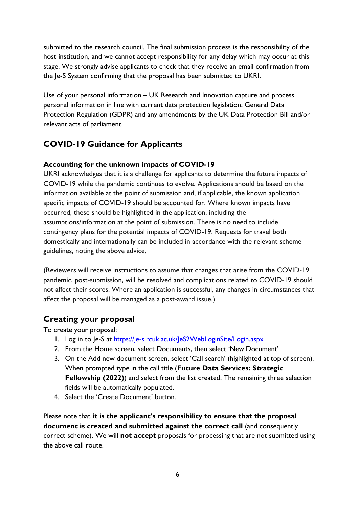submitted to the research council. The final submission process is the responsibility of the host institution, and we cannot accept responsibility for any delay which may occur at this stage. We strongly advise applicants to check that they receive an email confirmation from the Je-S System confirming that the proposal has been submitted to UKRI.

Use of your personal information – UK Research and Innovation capture and process personal information in line with current data protection legislation; General Data Protection Regulation (GDPR) and any amendments by the UK Data Protection Bill and/or relevant acts of parliament.

## <span id="page-5-0"></span>**COVID-19 Guidance for Applicants**

## **Accounting for the unknown impacts of COVID-19**

UKRI acknowledges that it is a challenge for applicants to determine the future impacts of COVID-19 while the pandemic continues to evolve. Applications should be based on the information available at the point of submission and, if applicable, the known application specific impacts of COVID-19 should be accounted for. Where known impacts have occurred, these should be highlighted in the application, including the assumptions/information at the point of submission. There is no need to include contingency plans for the potential impacts of COVID-19. Requests for travel both domestically and internationally can be included in accordance with the relevant scheme guidelines, noting the above advice.

(Reviewers will receive instructions to assume that changes that arise from the COVID-19 pandemic, post-submission, will be resolved and complications related to COVID-19 should not affect their scores. Where an application is successful, any changes in circumstances that affect the proposal will be managed as a post-award issue.)

## <span id="page-5-1"></span>**Creating your proposal**

To create your proposal:

- 1. Log in to Je-S at <https://je-s.rcuk.ac.uk/JeS2WebLoginSite/Login.aspx>
- 2. From the Home screen, select Documents, then select 'New Document'
- 3. On the Add new document screen, select 'Call search' (highlighted at top of screen). When prompted type in the call title (**Future Data Services: Strategic Fellowship (2022)**) and select from the list created. The remaining three selection fields will be automatically populated.
- 4. Select the 'Create Document' button.

Please note that **it is the applicant's responsibility to ensure that the proposal document is created and submitted against the correct call** (and consequently correct scheme). We will **not accept** proposals for processing that are not submitted using the above call route.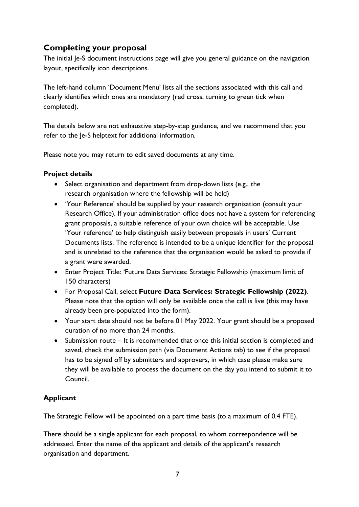## <span id="page-6-0"></span>**Completing your proposal**

The initial Je-S document instructions page will give you general guidance on the navigation layout, specifically icon descriptions.

The left-hand column 'Document Menu' lists all the sections associated with this call and clearly identifies which ones are mandatory (red cross, turning to green tick when completed).

The details below are not exhaustive step-by-step guidance, and we recommend that you refer to the Ie-S helptext for additional information.

Please note you may return to edit saved documents at any time.

#### <span id="page-6-1"></span>**Project details**

- Select organisation and department from drop-down lists (e.g., the research organisation where the fellowship will be held)
- 'Your Reference' should be supplied by your research organisation (consult your Research Office). If your administration office does not have a system for referencing grant proposals, a suitable reference of your own choice will be acceptable. Use 'Your reference' to help distinguish easily between proposals in users' Current Documents lists. The reference is intended to be a unique identifier for the proposal and is unrelated to the reference that the organisation would be asked to provide if a grant were awarded.
- Enter Project Title: 'Future Data Services: Strategic Fellowship (maximum limit of 150 characters)
- For Proposal Call, select **Future Data Services: Strategic Fellowship (2022)***.*  Please note that the option will only be available once the call is live (this may have already been pre-populated into the form).
- Your start date should not be before 01 May 2022. Your grant should be a proposed duration of no more than 24 months.
- Submission route It is recommended that once this initial section is completed and saved, check the submission path (via Document Actions tab) to see if the proposal has to be signed off by submitters and approvers, in which case please make sure they will be available to process the document on the day you intend to submit it to Council.

## <span id="page-6-2"></span>**Applicant**

The Strategic Fellow will be appointed on a part time basis (to a maximum of 0.4 FTE).

There should be a single applicant for each proposal, to whom correspondence will be addressed. Enter the name of the applicant and details of the applicant's research organisation and department.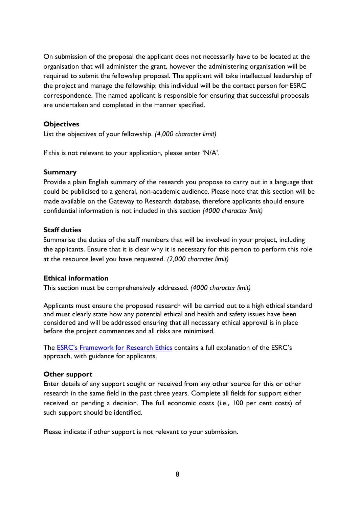On submission of the proposal the applicant does not necessarily have to be located at the organisation that will administer the grant, however the administering organisation will be required to submit the fellowship proposal. The applicant will take intellectual leadership of the project and manage the fellowship; this individual will be the contact person for ESRC correspondence. The named applicant is responsible for ensuring that successful proposals are undertaken and completed in the manner specified.

#### <span id="page-7-0"></span>**Objectives**

List the objectives of your fellowship. *(4,000 character limit)*

If this is not relevant to your application, please enter 'N/A'.

#### <span id="page-7-1"></span>**Summary**

Provide a plain English summary of the research you propose to carry out in a language that could be publicised to a general, non-academic audience. Please note that this section will be made available on the Gateway to Research database, therefore applicants should ensure confidential information is not included in this section *(4000 character limit)*

#### <span id="page-7-2"></span>**Staff duties**

Summarise the duties of the staff members that will be involved in your project, including the applicants. Ensure that it is clear why it is necessary for this person to perform this role at the resource level you have requested. *(2,000 character limit)*

#### <span id="page-7-3"></span>**Ethical information**

This section must be comprehensively addressed. *(4000 character limit)*

Applicants must ensure the proposed research will be carried out to a high ethical standard and must clearly state how any potential ethical and health and safety issues have been considered and will be addressed ensuring that all necessary ethical approval is in place before the project commences and all risks are minimised.

The **ESRC's Framework for Research Ethics** contains a full explanation of the ESRC's approach, with guidance for applicants.

#### <span id="page-7-4"></span>**Other support**

Enter details of any support sought or received from any other source for this or other research in the same field in the past three years. Complete all fields for support either received or pending a decision. The full economic costs (i.e., 100 per cent costs) of such support should be identified.

Please indicate if other support is not relevant to your submission.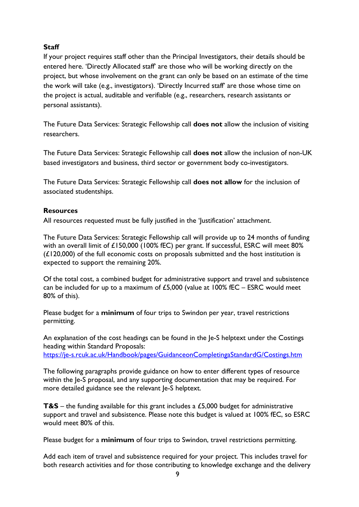### <span id="page-8-0"></span>**Staff**

If your project requires staff other than the Principal Investigators, their details should be entered here. 'Directly Allocated staff' are those who will be working directly on the project, but whose involvement on the grant can only be based on an estimate of the time the work will take (e.g., investigators). 'Directly Incurred staff' are those whose time on the project is actual, auditable and verifiable (e.g., researchers, research assistants or personal assistants).

The Future Data Services: Strategic Fellowship call **does not** allow the inclusion of visiting researchers.

The Future Data Services: Strategic Fellowship call **does not** allow the inclusion of non-UK based investigators and business, third sector or government body co-investigators.

The Future Data Services: Strategic Fellowship call **does not allow** for the inclusion of associated studentships.

#### <span id="page-8-1"></span>**Resources**

All resources requested must be fully justified in the 'Justification' attachment.

The Future Data Services: Strategic Fellowship call will provide up to 24 months of funding with an overall limit of £150,000 (100% fEC) per grant. If successful, ESRC will meet 80% (£120,000) of the full economic costs on proposals submitted and the host institution is expected to support the remaining 20%.

Of the total cost, a combined budget for administrative support and travel and subsistence can be included for up to a maximum of  $£5,000$  (value at  $100\%$  fEC – ESRC would meet 80% of this).

Please budget for a **minimum** of four trips to Swindon per year, travel restrictions permitting.

An explanation of the cost headings can be found in the Je-S helptext under the Costings heading within Standard Proposals: <https://je-s.rcuk.ac.uk/Handbook/pages/GuidanceonCompletingaStandardG/Costings.htm>

The following paragraphs provide guidance on how to enter different types of resource within the le-S proposal, and any supporting documentation that may be required. For more detailed guidance see the relevant Je-S helptext.

**T&S** – the funding available for this grant includes a £5,000 budget for administrative support and travel and subsistence. Please note this budget is valued at 100% fEC, so ESRC would meet 80% of this.

Please budget for a **minimum** of four trips to Swindon, travel restrictions permitting.

Add each item of travel and subsistence required for your project. This includes travel for both research activities and for those contributing to knowledge exchange and the delivery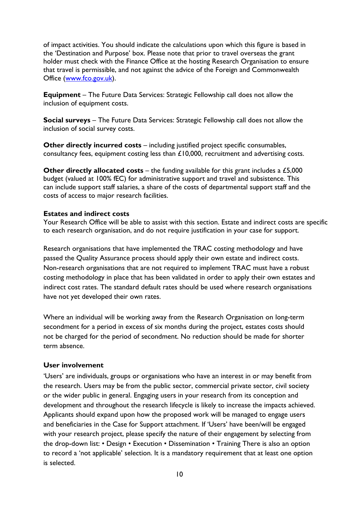of impact activities. You should indicate the calculations upon which this figure is based in the 'Destination and Purpose' box. Please note that prior to travel overseas the grant holder must check with the Finance Office at the hosting Research Organisation to ensure that travel is permissible, and not against the advice of the Foreign and Commonwealth Office [\(www.fco.gov.uk\)](http://www.fco.gov.uk/).

**Equipment** – The Future Data Services: Strategic Fellowship call does not allow the inclusion of equipment costs.

**Social surveys** – The Future Data Services: Strategic Fellowship call does not allow the inclusion of social survey costs.

**Other directly incurred costs** – including justified project specific consumables, consultancy fees, equipment costing less than £10,000, recruitment and advertising costs.

**Other directly allocated costs** – the funding available for this grant includes a £5,000 budget (valued at 100% fEC) for administrative support and travel and subsistence. This can include support staff salaries, a share of the costs of departmental support staff and the costs of access to major research facilities.

#### <span id="page-9-0"></span>**Estates and indirect costs**

Your Research Office will be able to assist with this section. Estate and indirect costs are specific to each research organisation, and do not require justification in your case for support.

Research organisations that have implemented the TRAC costing methodology and have passed the Quality Assurance process should apply their own estate and indirect costs. Non-research organisations that are not required to implement TRAC must have a robust costing methodology in place that has been validated in order to apply their own estates and indirect cost rates. The standard default rates should be used where research organisations have not yet developed their own rates.

Where an individual will be working away from the Research Organisation on long-term secondment for a period in excess of six months during the project, estates costs should not be charged for the period of secondment. No reduction should be made for shorter term absence.

#### <span id="page-9-1"></span>**User involvement**

'Users' are individuals, groups or organisations who have an interest in or may benefit from the research. Users may be from the public sector, commercial private sector, civil society or the wider public in general. Engaging users in your research from its conception and development and throughout the research lifecycle is likely to increase the impacts achieved. Applicants should expand upon how the proposed work will be managed to engage users and beneficiaries in the Case for Support attachment. If 'Users' have been/will be engaged with your research project, please specify the nature of their engagement by selecting from the drop-down list: • Design • Execution • Dissemination • Training There is also an option to record a 'not applicable' selection. It is a mandatory requirement that at least one option is selected.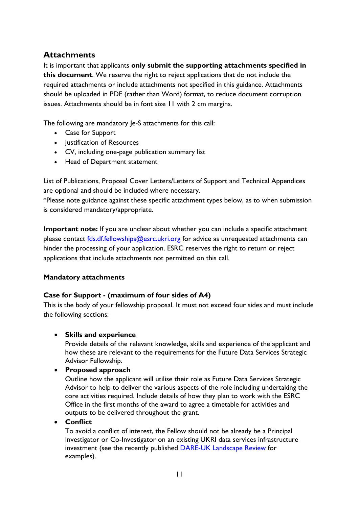## <span id="page-10-0"></span>**Attachments**

It is important that applicants **only submit the supporting attachments specified in this document**. We reserve the right to reject applications that do not include the required attachments or include attachments not specified in this guidance. Attachments should be uploaded in PDF (rather than Word) format, to reduce document corruption issues. Attachments should be in font size 11 with 2 cm margins.

The following are mandatory Je-S attachments for this call:

- Case for Support
- Justification of Resources
- CV, including one-page publication summary list
- Head of Department statement

List of Publications, Proposal Cover Letters/Letters of Support and Technical Appendices are optional and should be included where necessary.

\*Please note guidance against these specific attachment types below, as to when submission is considered mandatory/appropriate.

**Important note:** If you are unclear about whether you can include a specific attachment please contact [fds.df.fellowships@esrc.ukri.org](mailto:fds.df.fellowships@esrc.ukri.org) for advice as unrequested attachments can hinder the processing of your application. ESRC reserves the right to return or reject applications that include attachments not permitted on this call.

### **Mandatory attachments**

### <span id="page-10-1"></span>**Case for Support - (maximum of four sides of A4)**

This is the body of your fellowship proposal. It must not exceed four sides and must include the following sections:

### • **Skills and experience**

Provide details of the relevant knowledge, skills and experience of the applicant and how these are relevant to the requirements for the Future Data Services Strategic Advisor Fellowship.

### • **Proposed approach**

Outline how the applicant will utilise their role as Future Data Services Strategic Advisor to help to deliver the various aspects of the role including undertaking the core activities required. Include details of how they plan to work with the ESRC Office in the first months of the award to agree a timetable for activities and outputs to be delivered throughout the grant.

### • **Conflict**

To avoid a conflict of interest, the Fellow should not be already be a Principal Investigator or Co-Investigator on an existing UKRI data services infrastructure investment (see the recently published [DARE-UK Landscape Review](https://eur01.safelinks.protection.outlook.com/?url=https%3A%2F%2Fdareuk.org.uk%2Fwp-content%2Fuploads%2F2021%2F11%2FDARE_UK_Data_Research_Infrastructure_Landscape_Review_Oct_2021.pdf&data=04%7C01%7CHannah.Sharp%40esrc.ukri.org%7C27110da2d6e14c3dc3e308d9db3fc31d%7C2dcfd016f9df488cb16b68345b59afb7%7C0%7C0%7C637781889157625764%7CUnknown%7CTWFpbGZsb3d8eyJWIjoiMC4wLjAwMDAiLCJQIjoiV2luMzIiLCJBTiI6Ik1haWwiLCJXVCI6Mn0%3D%7C3000&sdata=UeE9U4RsjrNlQ%2FFWmgN%2F0V02PunAdgWaMA4xsI46jJA%3D&reserved=0) for examples).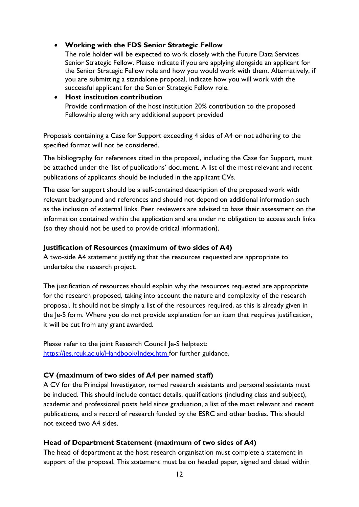#### • **Working with the FDS Senior Strategic Fellow**

The role holder will be expected to work closely with the Future Data Services Senior Strategic Fellow. Please indicate if you are applying alongside an applicant for the Senior Strategic Fellow role and how you would work with them. Alternatively, if you are submitting a standalone proposal, indicate how you will work with the successful applicant for the Senior Strategic Fellow role.

• **Host institution contribution** Provide confirmation of the host institution 20% contribution to the proposed Fellowship along with any additional support provided

Proposals containing a Case for Support exceeding 4 sides of A4 or not adhering to the specified format will not be considered.

The bibliography for references cited in the proposal, including the Case for Support, must be attached under the 'list of publications' document. A list of the most relevant and recent publications of applicants should be included in the applicant CVs.

The case for support should be a self-contained description of the proposed work with relevant background and references and should not depend on additional information such as the inclusion of external links. Peer reviewers are advised to base their assessment on the information contained within the application and are under no obligation to access such links (so they should not be used to provide critical information).

#### <span id="page-11-0"></span>**Justification of Resources (maximum of two sides of A4)**

A two-side A4 statement justifying that the resources requested are appropriate to undertake the research project.

The justification of resources should explain why the resources requested are appropriate for the research proposed, taking into account the nature and complexity of the research proposal. It should not be simply a list of the resources required, as this is already given in the Je-S form. Where you do not provide explanation for an item that requires justification, it will be cut from any grant awarded.

Please refer to the joint Research Council Je-S helptext: [https://jes.rcuk.ac.uk/Handbook/Index.htm f](https://jes.rcuk.ac.uk/Handbook/Index.htm)or further guidance.

### <span id="page-11-1"></span>**CV (maximum of two sides of A4 per named staff)**

A CV for the Principal Investigator, named research assistants and personal assistants must be included. This should include contact details, qualifications (including class and subject), academic and professional posts held since graduation, a list of the most relevant and recent publications, and a record of research funded by the ESRC and other bodies. This should not exceed two A4 sides.

#### <span id="page-11-2"></span>**Head of Department Statement (maximum of two sides of A4)**

The head of department at the host research organisation must complete a statement in support of the proposal. This statement must be on headed paper, signed and dated within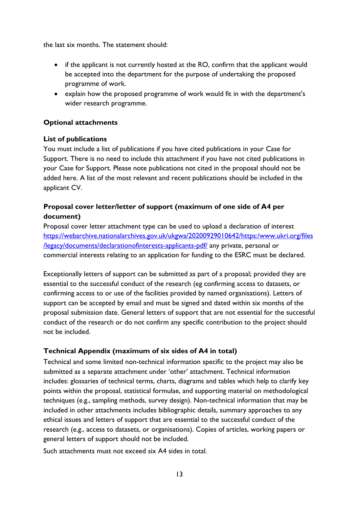the last six months. The statement should:

- if the applicant is not currently hosted at the RO, confirm that the applicant would be accepted into the department for the purpose of undertaking the proposed programme of work.
- <span id="page-12-0"></span>• explain how the proposed programme of work would fit in with the department's wider research programme.

#### **Optional attachments**

#### **List of publications**

You must include a list of publications if you have cited publications in your Case for Support. There is no need to include this attachment if you have not cited publications in your Case for Support. Please note publications not cited in the proposal should not be added here. A list of the most relevant and recent publications should be included in the applicant CV.

## <span id="page-12-1"></span>**Proposal cover letter/letter of support (maximum of one side of A4 per document)**

Proposal cover letter attachment type can be used to upload a declaration of interest [https://webarchive.nationalarchives.gov.uk/ukgwa/20200929010642/https:/www.ukri.org/files](https://webarchive.nationalarchives.gov.uk/ukgwa/20200929010642/https:/www.ukri.org/files/legacy/documents/declarationofinterests-applicants-pdf/) [/legacy/documents/declarationofinterests-applicants-pdf/](https://webarchive.nationalarchives.gov.uk/ukgwa/20200929010642/https:/www.ukri.org/files/legacy/documents/declarationofinterests-applicants-pdf/) any private, personal or commercial interests relating to an application for funding to the ESRC must be declared.

Exceptionally letters of support can be submitted as part of a proposal; provided they are essential to the successful conduct of the research (eg confirming access to datasets, or confirming access to or use of the facilities provided by named organisations). Letters of support can be accepted by email and must be signed and dated within six months of the proposal submission date. General letters of support that are not essential for the successful conduct of the research or do not confirm any specific contribution to the project should not be included.

### **Technical Appendix (maximum of six sides of A4 in total)**

Technical and some limited non-technical information specific to the project may also be submitted as a separate attachment under 'other' attachment. Technical information includes: glossaries of technical terms, charts, diagrams and tables which help to clarify key points within the proposal, statistical formulae, and supporting material on methodological techniques (e.g., sampling methods, survey design). Non-technical information that may be included in other attachments includes bibliographic details, summary approaches to any ethical issues and letters of support that are essential to the successful conduct of the research (e.g., access to datasets, or organisations). Copies of articles, working papers or general letters of support should not be included.

Such attachments must not exceed six A4 sides in total.